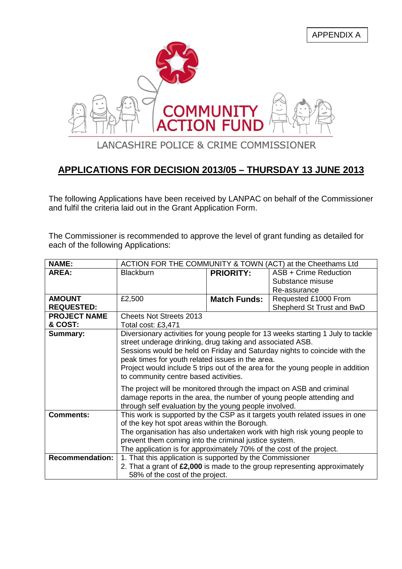APPENDIX A



## **APPLICATIONS FOR DECISION 2013/05 – THURSDAY 13 JUNE 2013**

The following Applications have been received by LANPAC on behalf of the Commissioner and fulfil the criteria laid out in the Grant Application Form.

The Commissioner is recommended to approve the level of grant funding as detailed for each of the following Applications:

| <b>NAME:</b>           | ACTION FOR THE COMMUNITY & TOWN (ACT) at the Cheethams Ltd                                                                                                                                                                                                                                                                                                                                               |                     |                           |
|------------------------|----------------------------------------------------------------------------------------------------------------------------------------------------------------------------------------------------------------------------------------------------------------------------------------------------------------------------------------------------------------------------------------------------------|---------------------|---------------------------|
| <b>AREA:</b>           | <b>Blackburn</b>                                                                                                                                                                                                                                                                                                                                                                                         | <b>PRIORITY:</b>    | ASB + Crime Reduction     |
|                        |                                                                                                                                                                                                                                                                                                                                                                                                          |                     | Substance misuse          |
|                        |                                                                                                                                                                                                                                                                                                                                                                                                          |                     | Re-assurance              |
| <b>AMOUNT</b>          | £2,500                                                                                                                                                                                                                                                                                                                                                                                                   | <b>Match Funds:</b> | Requested £1000 From      |
| <b>REQUESTED:</b>      |                                                                                                                                                                                                                                                                                                                                                                                                          |                     | Shepherd St Trust and BwD |
| <b>PROJECT NAME</b>    | <b>Cheets Not Streets 2013</b>                                                                                                                                                                                                                                                                                                                                                                           |                     |                           |
| & COST:                | Total cost: £3,471                                                                                                                                                                                                                                                                                                                                                                                       |                     |                           |
| Summary:               | Diversionary activities for young people for 13 weeks starting 1 July to tackle<br>street underage drinking, drug taking and associated ASB.<br>Sessions would be held on Friday and Saturday nights to coincide with the<br>peak times for youth related issues in the area.<br>Project would include 5 trips out of the area for the young people in addition<br>to community centre based activities. |                     |                           |
|                        | The project will be monitored through the impact on ASB and criminal<br>damage reports in the area, the number of young people attending and<br>through self evaluation by the young people involved.                                                                                                                                                                                                    |                     |                           |
| <b>Comments:</b>       | This work is supported by the CSP as it targets youth related issues in one                                                                                                                                                                                                                                                                                                                              |                     |                           |
|                        | of the key hot spot areas within the Borough.<br>The organisation has also undertaken work with high risk young people to                                                                                                                                                                                                                                                                                |                     |                           |
|                        | prevent them coming into the criminal justice system.                                                                                                                                                                                                                                                                                                                                                    |                     |                           |
|                        | The application is for approximately 70% of the cost of the project.                                                                                                                                                                                                                                                                                                                                     |                     |                           |
| <b>Recommendation:</b> | 1. That this application is supported by the Commissioner                                                                                                                                                                                                                                                                                                                                                |                     |                           |
|                        | 2. That a grant of £2,000 is made to the group representing approximately                                                                                                                                                                                                                                                                                                                                |                     |                           |
|                        | 58% of the cost of the project.                                                                                                                                                                                                                                                                                                                                                                          |                     |                           |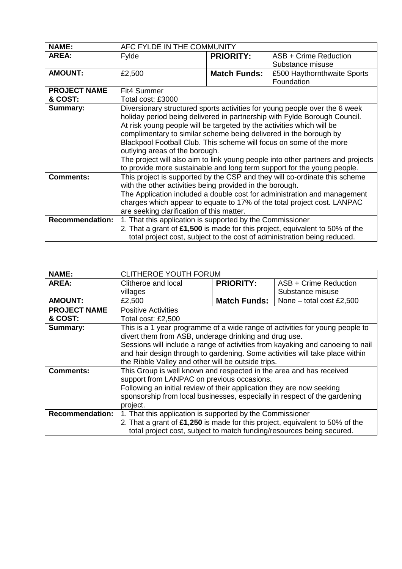| <b>NAME:</b>                   | AFC FYLDE IN THE COMMUNITY                                                                                                                                                                                                                                                                                                                                                                                                                                                                                                                                                   |                     |                                                                                                                                                          |
|--------------------------------|------------------------------------------------------------------------------------------------------------------------------------------------------------------------------------------------------------------------------------------------------------------------------------------------------------------------------------------------------------------------------------------------------------------------------------------------------------------------------------------------------------------------------------------------------------------------------|---------------------|----------------------------------------------------------------------------------------------------------------------------------------------------------|
| <b>AREA:</b>                   | Fylde                                                                                                                                                                                                                                                                                                                                                                                                                                                                                                                                                                        | <b>PRIORITY:</b>    | ASB + Crime Reduction<br>Substance misuse                                                                                                                |
| <b>AMOUNT:</b>                 | £2,500                                                                                                                                                                                                                                                                                                                                                                                                                                                                                                                                                                       | <b>Match Funds:</b> | £500 Haythornthwaite Sports<br>Foundation                                                                                                                |
| <b>PROJECT NAME</b><br>& COST: | Fit4 Summer<br>Total cost: £3000                                                                                                                                                                                                                                                                                                                                                                                                                                                                                                                                             |                     |                                                                                                                                                          |
| Summary:                       | Diversionary structured sports activities for young people over the 6 week<br>holiday period being delivered in partnership with Fylde Borough Council.<br>At risk young people will be targeted by the activities which will be<br>complimentary to similar scheme being delivered in the borough by<br>Blackpool Football Club. This scheme will focus on some of the more<br>outlying areas of the borough.<br>The project will also aim to link young people into other partners and projects<br>to provide more sustainable and long term support for the young people. |                     |                                                                                                                                                          |
| <b>Comments:</b>               | This project is supported by the CSP and they will co-ordinate this scheme<br>with the other activities being provided in the borough.<br>The Application included a double cost for administration and management<br>charges which appear to equate to 17% of the total project cost. LANPAC<br>are seeking clarification of this matter.                                                                                                                                                                                                                                   |                     |                                                                                                                                                          |
| <b>Recommendation:</b>         | 1. That this application is supported by the Commissioner                                                                                                                                                                                                                                                                                                                                                                                                                                                                                                                    |                     | 2. That a grant of £1,500 is made for this project, equivalent to 50% of the<br>total project cost, subject to the cost of administration being reduced. |

| <b>NAME:</b>           | <b>CLITHEROE YOUTH FORUM</b>                                                                                                          |                     |                            |
|------------------------|---------------------------------------------------------------------------------------------------------------------------------------|---------------------|----------------------------|
| AREA:                  | Clitheroe and local                                                                                                                   | <b>PRIORITY:</b>    | ASB + Crime Reduction      |
|                        | villages                                                                                                                              |                     | Substance misuse           |
| <b>AMOUNT:</b>         | £2,500                                                                                                                                | <b>Match Funds:</b> | None $-$ total cost £2,500 |
| <b>PROJECT NAME</b>    | <b>Positive Activities</b>                                                                                                            |                     |                            |
| & COST:                | Total cost: £2,500                                                                                                                    |                     |                            |
| Summary:               | This is a 1 year programme of a wide range of activities for young people to<br>divert them from ASB, underage drinking and drug use. |                     |                            |
|                        | Sessions will include a range of activities from kayaking and canoeing to nail                                                        |                     |                            |
|                        | and hair design through to gardening. Some activities will take place within                                                          |                     |                            |
|                        | the Ribble Valley and other will be outside trips.                                                                                    |                     |                            |
| <b>Comments:</b>       | This Group is well known and respected in the area and has received                                                                   |                     |                            |
|                        | support from LANPAC on previous occasions.                                                                                            |                     |                            |
|                        | Following an initial review of their application they are now seeking                                                                 |                     |                            |
|                        | sponsorship from local businesses, especially in respect of the gardening                                                             |                     |                            |
|                        | project.                                                                                                                              |                     |                            |
| <b>Recommendation:</b> | 1. That this application is supported by the Commissioner                                                                             |                     |                            |
|                        | 2. That a grant of £1,250 is made for this project, equivalent to 50% of the                                                          |                     |                            |
|                        | total project cost, subject to match funding/resources being secured.                                                                 |                     |                            |